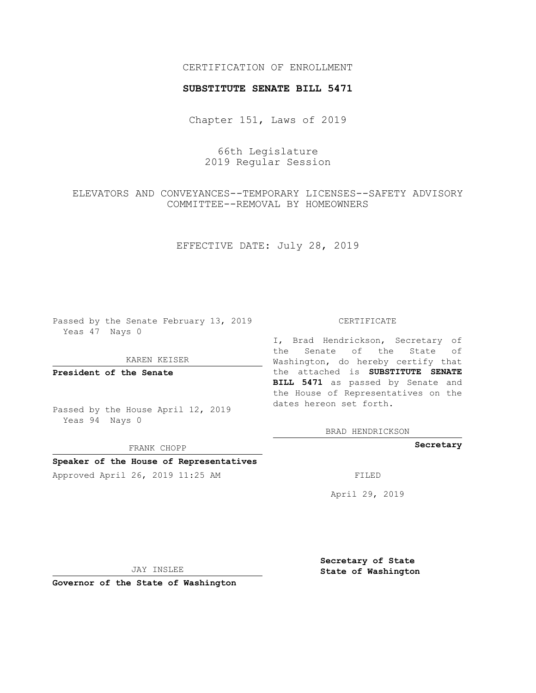# CERTIFICATION OF ENROLLMENT

### **SUBSTITUTE SENATE BILL 5471**

Chapter 151, Laws of 2019

66th Legislature 2019 Regular Session

ELEVATORS AND CONVEYANCES--TEMPORARY LICENSES--SAFETY ADVISORY COMMITTEE--REMOVAL BY HOMEOWNERS

EFFECTIVE DATE: July 28, 2019

Passed by the Senate February 13, 2019 Yeas 47 Nays 0

KAREN KEISER

**President of the Senate**

Passed by the House April 12, 2019 Yeas 94 Nays 0

FRANK CHOPP

# **Speaker of the House of Representatives**

Approved April 26, 2019 11:25 AM FILED

#### CERTIFICATE

I, Brad Hendrickson, Secretary of the Senate of the State of Washington, do hereby certify that the attached is **SUBSTITUTE SENATE BILL 5471** as passed by Senate and the House of Representatives on the dates hereon set forth.

BRAD HENDRICKSON

**Secretary**

April 29, 2019

JAY INSLEE

**Governor of the State of Washington**

**Secretary of State State of Washington**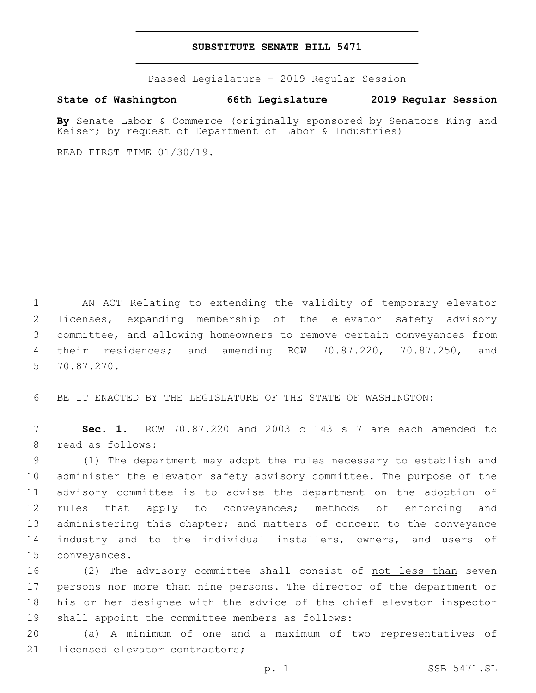## **SUBSTITUTE SENATE BILL 5471**

Passed Legislature - 2019 Regular Session

## **State of Washington 66th Legislature 2019 Regular Session**

**By** Senate Labor & Commerce (originally sponsored by Senators King and Keiser; by request of Department of Labor & Industries)

READ FIRST TIME 01/30/19.

 AN ACT Relating to extending the validity of temporary elevator licenses, expanding membership of the elevator safety advisory committee, and allowing homeowners to remove certain conveyances from their residences; and amending RCW 70.87.220, 70.87.250, and 70.87.270.5

6 BE IT ENACTED BY THE LEGISLATURE OF THE STATE OF WASHINGTON:

7 **Sec. 1.** RCW 70.87.220 and 2003 c 143 s 7 are each amended to 8 read as follows:

9 (1) The department may adopt the rules necessary to establish and 10 administer the elevator safety advisory committee. The purpose of the 11 advisory committee is to advise the department on the adoption of 12 rules that apply to conveyances; methods of enforcing and 13 administering this chapter; and matters of concern to the conveyance 14 industry and to the individual installers, owners, and users of 15 conveyances.

16 (2) The advisory committee shall consist of not less than seven 17 persons nor more than nine persons. The director of the department or 18 his or her designee with the advice of the chief elevator inspector 19 shall appoint the committee members as follows:

20 (a) A minimum of one and a maximum of two representatives of 21 licensed elevator contractors;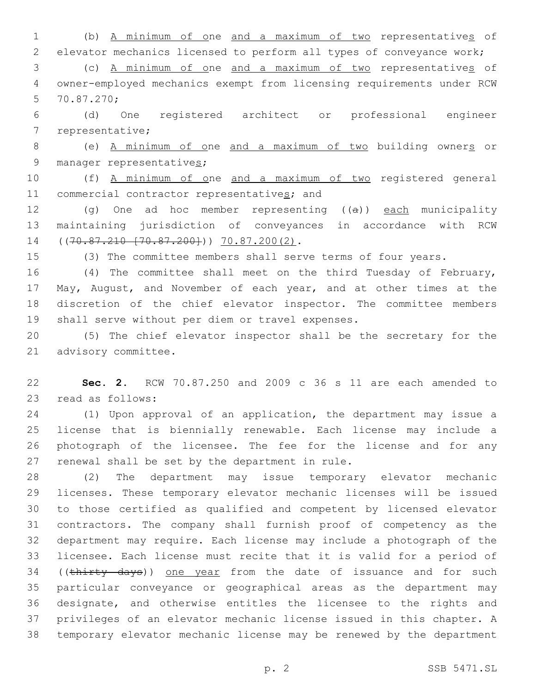(b) A minimum of one and a maximum of two representatives of elevator mechanics licensed to perform all types of conveyance work;

 (c) A minimum of one and a maximum of two representatives of owner-employed mechanics exempt from licensing requirements under RCW 70.87.270;5

 (d) One registered architect or professional engineer 7 representative;

 (e) A minimum of one and a maximum of two building owners or 9 manager representatives;

 (f) A minimum of one and a maximum of two registered general 11 commercial contractor representatives; and

12 (g) One ad hoc member representing ((a)) each municipality maintaining jurisdiction of conveyances in accordance with RCW 14 ((70.87.210 [70.87.200])) 70.87.200(2).

(3) The committee members shall serve terms of four years.

 (4) The committee shall meet on the third Tuesday of February, May, August, and November of each year, and at other times at the discretion of the chief elevator inspector. The committee members 19 shall serve without per diem or travel expenses.

 (5) The chief elevator inspector shall be the secretary for the 21 advisory committee.

 **Sec. 2.** RCW 70.87.250 and 2009 c 36 s 11 are each amended to 23 read as follows:

 (1) Upon approval of an application, the department may issue a license that is biennially renewable. Each license may include a photograph of the licensee. The fee for the license and for any 27 renewal shall be set by the department in rule.

 (2) The department may issue temporary elevator mechanic licenses. These temporary elevator mechanic licenses will be issued to those certified as qualified and competent by licensed elevator contractors. The company shall furnish proof of competency as the department may require. Each license may include a photograph of the licensee. Each license must recite that it is valid for a period of 34 ((thirty days)) one year from the date of issuance and for such particular conveyance or geographical areas as the department may designate, and otherwise entitles the licensee to the rights and privileges of an elevator mechanic license issued in this chapter. A temporary elevator mechanic license may be renewed by the department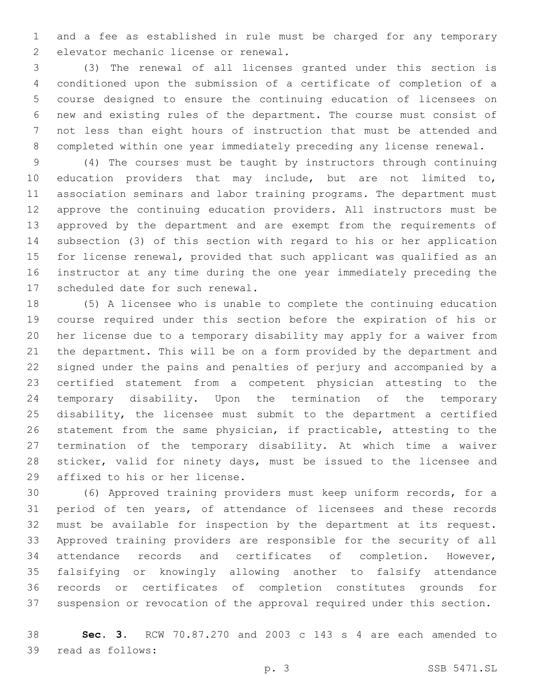and a fee as established in rule must be charged for any temporary 2 elevator mechanic license or renewal.

 (3) The renewal of all licenses granted under this section is conditioned upon the submission of a certificate of completion of a course designed to ensure the continuing education of licensees on new and existing rules of the department. The course must consist of not less than eight hours of instruction that must be attended and completed within one year immediately preceding any license renewal.

 (4) The courses must be taught by instructors through continuing education providers that may include, but are not limited to, association seminars and labor training programs. The department must approve the continuing education providers. All instructors must be approved by the department and are exempt from the requirements of subsection (3) of this section with regard to his or her application for license renewal, provided that such applicant was qualified as an instructor at any time during the one year immediately preceding the 17 scheduled date for such renewal.

 (5) A licensee who is unable to complete the continuing education course required under this section before the expiration of his or her license due to a temporary disability may apply for a waiver from the department. This will be on a form provided by the department and signed under the pains and penalties of perjury and accompanied by a certified statement from a competent physician attesting to the temporary disability. Upon the termination of the temporary disability, the licensee must submit to the department a certified statement from the same physician, if practicable, attesting to the termination of the temporary disability. At which time a waiver sticker, valid for ninety days, must be issued to the licensee and 29 affixed to his or her license.

 (6) Approved training providers must keep uniform records, for a period of ten years, of attendance of licensees and these records must be available for inspection by the department at its request. Approved training providers are responsible for the security of all attendance records and certificates of completion. However, falsifying or knowingly allowing another to falsify attendance records or certificates of completion constitutes grounds for suspension or revocation of the approval required under this section.

 **Sec. 3.** RCW 70.87.270 and 2003 c 143 s 4 are each amended to 39 read as follows: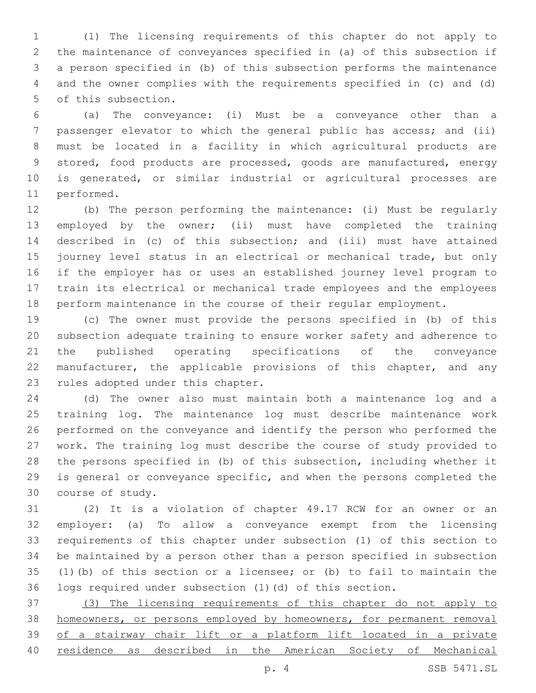(1) The licensing requirements of this chapter do not apply to the maintenance of conveyances specified in (a) of this subsection if a person specified in (b) of this subsection performs the maintenance and the owner complies with the requirements specified in (c) and (d) 5 of this subsection.

 (a) The conveyance: (i) Must be a conveyance other than a passenger elevator to which the general public has access; and (ii) must be located in a facility in which agricultural products are stored, food products are processed, goods are manufactured, energy is generated, or similar industrial or agricultural processes are 11 performed.

 (b) The person performing the maintenance: (i) Must be regularly employed by the owner; (ii) must have completed the training described in (c) of this subsection; and (iii) must have attained journey level status in an electrical or mechanical trade, but only if the employer has or uses an established journey level program to train its electrical or mechanical trade employees and the employees perform maintenance in the course of their regular employment.

 (c) The owner must provide the persons specified in (b) of this subsection adequate training to ensure worker safety and adherence to the published operating specifications of the conveyance 22 manufacturer, the applicable provisions of this chapter, and any 23 rules adopted under this chapter.

 (d) The owner also must maintain both a maintenance log and a training log. The maintenance log must describe maintenance work performed on the conveyance and identify the person who performed the work. The training log must describe the course of study provided to the persons specified in (b) of this subsection, including whether it is general or conveyance specific, and when the persons completed the 30 course of study.

 (2) It is a violation of chapter 49.17 RCW for an owner or an employer: (a) To allow a conveyance exempt from the licensing requirements of this chapter under subsection (1) of this section to be maintained by a person other than a person specified in subsection (1)(b) of this section or a licensee; or (b) to fail to maintain the logs required under subsection (1)(d) of this section.

 (3) The licensing requirements of this chapter do not apply to 38 homeowners, or persons employed by homeowners, for permanent removal of a stairway chair lift or a platform lift located in a private residence as described in the American Society of Mechanical